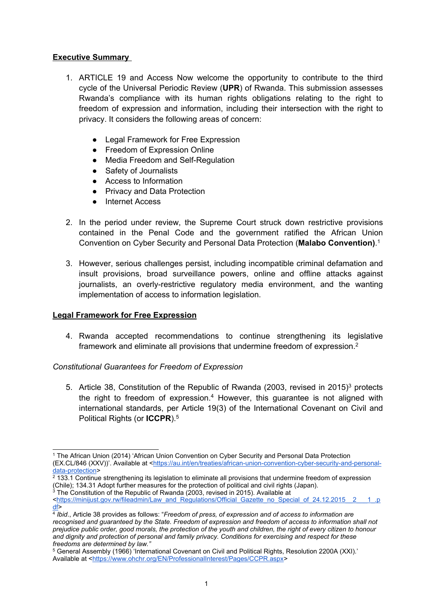# **Executive Summary**

- 1. ARTICLE 19 and Access Now welcome the opportunity to contribute to the third cycle of the Universal Periodic Review (**UPR**) of Rwanda. This submission assesses Rwanda'<sup>s</sup> compliance with its human rights obligations relating to the right to freedom of expression and information, including their intersection with the right to privacy. It considers the following areas of concern:
	- Legal Framework for Free Expression
	- Freedom of Expression Online
	- ●Media Freedom and Self-Regulation
	- Safety of Journalists
	- Access to Information
		- ●Privacy and Data Protection
	- Internet Access
- 2. In the period under review, the Supreme Court struck down restrictive provisions contained in the Penal Code and the government ratified the African Union Convention on Cyber Security and Personal Data Protection (**Malabo Convention)**. 1
- 3. However, serious challenges persist, including incompatible criminal defamation and insult provisions, broad surveillance powers, online and offline attacks against journalists, an overly-restrictive regulatory media environment, and the wanting implementation of access to information legislation.

#### **Legal Framework for Free Expression**

4. Rwanda accepted recommendations to continue strengthening its legislative framework and eliminate all provisions that undermine freedom of expression. $^{\text{2}}$ 

#### *Constitutional Guarantees for Freedom of Expression*

5.  $\,$  Article 38, Constitution of the Republic of Rwanda (2003, revised in 2015) $^3$  protects the right to freedom of expression. <sup>4</sup> However, this guarantee is not aligned with international standards, per Article 19(3) of the International Covenant on Civil and Political Rights (or **ICCPR**). 5

<sup>1</sup> The African Union (2014) 'African Union Convention on Cyber Security and Personal Data Protection (EX.CL/846 (XXV))'. Available at <[https://au.int/en/treaties/african-union-convention-cyber-security-and-personal](https://au.int/en/treaties/african-union-convention-cyber-security-and-personal-data-protection)[data-protection](https://au.int/en/treaties/african-union-convention-cyber-security-and-personal-data-protection)>

<sup>2</sup> 133.1 Continue strengthening its legislation to eliminate all provisions that undermine freedom of expression (Chile); 134.31 Adopt further measures for the protection of political and civil rights (Japan).

<sup>3</sup> The Constitution of the Republic of Rwanda (2003, revised in 2015). Available at

<sup>&</sup>lt;https://minijust.gov.rw/fileadmin/Law\_and\_Regulations/Official\_Gazette\_no\_Special\_of\_24.12.2015\_\_2 [df](https://minijust.gov.rw/fileadmin/Law_and_Regulations/Official_Gazette_no_Special_of_24.12.2015__2___1_.pdf)> 4 *Ibid*., Article 38 provides as follows: "*Freedom of press, of expression and of access to information are*

recognised and guaranteed by the State. Freedom of expression and freedom of access to information shall not prejudice public order, good morals, the protection of the youth and children, the right of every citizen to honour *and dignity and protection of personal and family privacy. Conditions for exercising and respect for these freedoms are determined by law."*

<sup>5</sup> General Assembly (1966) 'International Covenant on Civil and Political Rights, Resolution 2200A (XXI).' Available at <<https://www.ohchr.org/EN/ProfessionalInterest/Pages/CCPR.aspx>>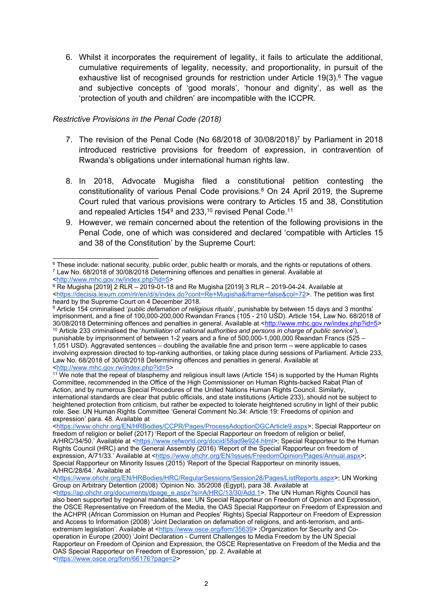6. Whilst it incorporates the requirement of legality, it fails to articulate the additional, cumulative requirements of legality, necessity, and proportionality, in pursuit of the exhaustive list of recognised grounds for restriction under Article 19(3). 6 The vague and subjective concepts of 'good morals', 'honour and dignity', as well as the 'protection of youth and children' are incompatible with the ICCPR.

### *Restrictive Provisions in the Penal Code (2018)*

- 7. The revision of the Penal Code (No 68/2018 of 30/08/2018) 7 by Parliament in 2018 introduced restrictive provisions for freedom of expression, in contravention of Rwanda'<sup>s</sup> obligations under international human rights law.
- 8. In 2018, Advocate Mugisha filed <sup>a</sup> constitutional petition contesting the constitutionality of various Penal Code provisions. <sup>8</sup> On 24 April 2019, the Supreme Court ruled that various provisions were contrary to Articles 15 and 38, Constitution and repealed Articles 154<sup>9</sup> and 233, $^{\mathsf{10}}$  revised Penal Code. $^{\mathsf{11}}$
- 9. However, we remain concerned about the retention of the following provisions in the Penal Code, one of which was considered and declared 'compatible with Articles 15 and 38 of the Constitution' by the Supreme Court:

<sup>9</sup> Article 154 criminalised '*public defamation of religious rituals*', punishable by between 15 days and 3 months' imprisonment, and <sup>a</sup> fine of 100,000-200,000 Rwandan Francs (105 - 210 USD). Article 154, Law No. 68/2018 of 30/08/2018 Determining offences and penalties in general. Available at <<http://www.mhc.gov.rw/index.php?id=5>> <sup>10</sup> Article 233 criminalised the '*humiliation of national authorities and persons in charge of public service*'), punishable by imprisonment of between 1-2 years and <sup>a</sup> fine of 500,000-1,000,000 Rwandan Francs (525 – 1,051 USD). Aggravated sentences – doubling the available fine and prison term – were applicable to cases involving expression directed to top-ranking authorities, or taking place during sessions of Parliament. Article 233, Law No. 68/2018 of 30/08/2018 Determining offences and penalties in general. Available at <<http://www.mhc.gov.rw/index.php?id=5>>

<sup>11</sup> We note that the repeal of blasphemy and religious insult laws (Article 154) is supported by the Human Rights Committee, recommended in the Office of the High Commissioner on Human Rights-backed Rabat Plan of Action, and by numerous Special Procedures of the United Nations Human Rights Council. Similarly, international standards are clear that public officials, and state institutions (Article 233), should not be subject to heightened protection from criticism, but rather be expected to tolerate heightened scrutiny in light of their public role. See: UN Human Rights Committee 'General Comment No.34: Article 19: Freedoms of opinion and expression' para. 48. Available at

<sup>6</sup> These include: national security, public order, public health or morals, and the rights or reputations of others. 7 Law No. 68/2018 of 30/08/2018 Determining offences and penalties in general. Available at

<sup>&</sup>lt;<http://www.mhc.gov.rw/index.php?id=5>>

 $8$  Re Mugisha [2019] 2 RLR – 2019-01-18 and Re Mugisha [2019] 3 RLR – 2019-04-24. Available at <<https://decisia.lexum.com/rlr/en/d/s/index.do?cont=Re+Mugisha&iframe=false&col=72>>. The petition was first heard by the Supreme Court on 4 December 2018.

<sup>&</sup>lt;<https://www.ohchr.org/EN/HRBodies/CCPR/Pages/ProcessAdoptionDGCArticle9.aspx>>; Special Rapporteur on freedom of religion or belief (2017) 'Report of the Special Rapporteur on freedom of religion or belief, A/HRC/34/50.' Available at <<https://www.refworld.org/docid/58ad9e924.html>>; Special Rapporteur to the Human Rights Council (HRC) and the General Assembly (2016) 'Report of the Special Rapporteur on freedom of expression, A/71/33.' Available at <<https://www.ohchr.org/EN/Issues/FreedomOpinion/Pages/Annual.aspx>>; Special Rapporteur on Minority Issues (2015) 'Report of the Special Rapporteur on minority issues, A/HRC/28/64.' Available at

<sup>&</sup>lt;<https://www.ohchr.org/EN/HRBodies/HRC/RegularSessions/Session28/Pages/ListReports.aspx>>; UN Working Group on Arbitrary Detention (2008) 'Opinion No. 35/2008 (Egypt), para 38. Available at

<sup>&</sup>lt;[https://ap.ohchr.org/documents/dpage\\_e.aspx?si=A/HRC/13/30/Add.1](https://ap.ohchr.org/documents/dpage_e.aspx?si=A/HRC/13/30/Add.1)>. The UN Human Rights Council has also been supported by regional mandates, see: UN Special Rapporteur on Freedom of Opinion and Expression, the OSCE Representative on Freedom of the Media, the OAS Special Rapporteur on Freedom of Expression and the ACHPR (African Commission on Human and Peoples' Rights) Special Rapporteur on Freedom of Expression and Access to Information (2008) 'Joint Declaration on defamation of religions, and anti-terrorism, and antiextremism legislation'. Available at <<https://www.osce.org/fom/35639>> ;Organization for Security and Cooperation in Europe (2000) 'Joint Declaration - Current Challenges to Media Freedom by the UN Special Rapporteur on Freedom of Opinion and Expression, the OSCE Representative on Freedom of the Media and the OAS Special Rapporteur on Freedom of Expression,' pp. 2. Available at <<https://www.osce.org/fom/66176?page=2>>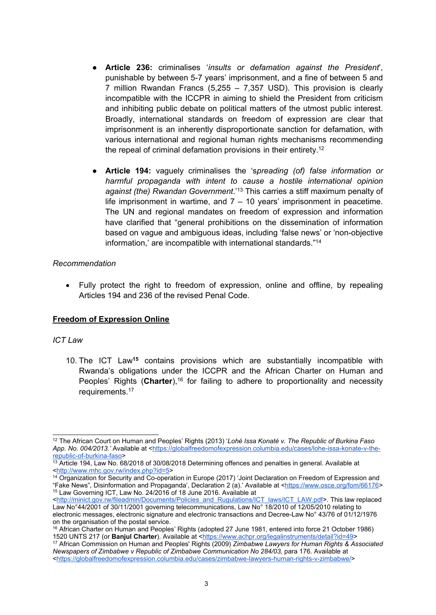- **Article 236:** criminalises '*insults or defamation against the President*', punishable by between 5-7 years' imprisonment, and <sup>a</sup> fine of between 5 and 7 million Rwandan Francs (5,255 – 7,357 USD). This provision is clearly incompatible with the ICCPR in aiming to shield the President from criticism and inhibiting public debate on political matters of the utmost public interest. Broadly, international standards on freedom of expression are clear that imprisonment is an inherently disproportionate sanction for defamation, with various international and regional human rights mechanisms recommending the repeal of criminal defamation provisions in their entirety. 12
- **Article 194:** vaguely criminalises the 's*preading (of) false information or harmful propaganda with intent to cause <sup>a</sup> hostile international opinion against (the) Rwandan Government*.' 13 This carries <sup>a</sup> stiff maximum penalty of life imprisonment in wartime, and  $7 - 10$  years' imprisonment in peacetime. The UN and regional mandates on freedom of expression and information have clarified that "general prohibitions on the dissemination of information based on vague and ambiguous ideas, including 'false news' or 'non-objective information,' are incompatible with international standards." 14

#### *Recommendation*

 $\bullet$  Fully protect the right to freedom of expression, online and offline, by repealing Articles 194 and 236 of the revised Penal Code.

# **Freedom of Expression Online**

#### *ICT Law*

10. The ICT Law**<sup>15</sup>** contains provisions which are substantially incompatible with Rwanda'<sup>s</sup> obligations under the ICCPR and the African Charter on Human and Peoples' Rights (**Charter**),<sup>16</sup> for failing to adhere to proportionality and necessity requirements. 17

<sup>12</sup> The African Court on Human and Peoples' Rights (2013) '*Lohé Issa Konaté v. The Republic of Burkina Faso App. No. 004/2013.'* Available at <[https://globalfreedomofexpression.columbia.edu/cases/lohe-issa-konate-v-the](https://globalfreedomofexpression.columbia.edu/cases/lohe-issa-konate-v-the-republic-of-burkina-faso/)[republic-of-burkina-faso](https://globalfreedomofexpression.columbia.edu/cases/lohe-issa-konate-v-the-republic-of-burkina-faso/)>

 $^{\rm 13}$  Article 194, Law No. 68/2018 of 30/08/2018 Determining offences and penalties in general. Available at <<http://www.mhc.gov.rw/index.php?id=5>>

<sup>&</sup>lt;sup>14</sup> Organization for Security and Co-operation in Europe (2017) 'Joint Declaration on Freedom of Expression and "Fake News", Disinformation and Propaganda', Declaration 2 (a).' Available at <<https://www.osce.org/fom/66176>> 15 Law Governing ICT, Law No. 24/2016 of 18 June 2016. Available at

<sup>&</sup>lt;[http://minict.gov.rw/fileadmin/Documents/Policies\\_and\\_Rugulations/ICT\\_laws/ICT\\_LAW.pdf](http://minict.gov.rw/fileadmin/Documents/Policies_and_Rugulations/ICT_laws/ICT_LAW.pdf)>. This law replaced Law No°44/2001 of 30/11/2001 governing telecommunications, Law No° 18/2010 of 12/05/2010 relating to electronic messages, electronic signature and electronic transactions and Decree-Law No° 43/76 of 01/12/1976 on the organisation of the postal service.

<sup>16</sup> African Charter on Human and Peoples' Rights (adopted 27 June 1981, entered into force 21 October 1986) 1520 UNTS 217 (or **Banjul Charter**). Available at <<https://www.achpr.org/legalinstruments/detail?id=49>>

<sup>17</sup> African Commission on Human and Peoples' Rights (2009) *Zimbabwe Lawyers for Human Rights & Associated Newspapers of Zimbabwe <sup>v</sup> Republic of Zimbabwe Communication No 284/03,* para 176. Available at <<https://globalfreedomofexpression.columbia.edu/cases/zimbabwe-lawyers-human-rights-v-zimbabwe/>>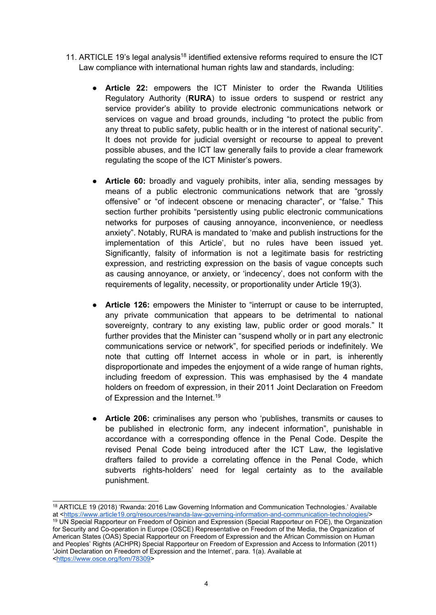- 11. ARTICLE 19's legal analysis $^{\rm 18}$  identified extensive reforms required to ensure the ICT Law compliance with international human rights law and standards, including:
	- ● **Article 22:** empowers the ICT Minister to order the Rwanda Utilities Regulatory Authority (**RURA**) to issue orders to suspend or restrict any service provider'<sup>s</sup> ability to provide electronic communications network or services on vague and broad grounds, including "to protect the public from any threat to public safety, public health or in the interest of national security". It does not provide for judicial oversight or recourse to appeal to prevent possible abuses, and the ICT law generally fails to provide <sup>a</sup> clear framework regulating the scope of the ICT Minister'<sup>s</sup> powers.
	- **Article 60:** broadly and vaguely prohibits, inter alia, sending messages by means of <sup>a</sup> public electronic communications network that are "grossly offensive" or "of indecent obscene or menacing character", or "false." This section further prohibits "persistently using public electronic communications networks for purposes of causing annoyance, inconvenience, or needless anxiety". Notably, RURA is mandated to 'make and publish instructions for the implementation of this Article', but no rules have been issued yet. Significantly, falsity of information is not <sup>a</sup> legitimate basis for restricting expression, and restricting expression on the basis of vague concepts such as causing annoyance, or anxiety, or 'indecency', does not conform with the requirements of legality, necessity, or proportionality under Article 19(3).
	- **Article 126:** empowers the Minister to "interrupt or cause to be interrupted, any private communication that appears to be detrimental to national sovereignty, contrary to any existing law, public order or good morals." It further provides that the Minister can "suspend wholly or in part any electronic communications service or network", for specified periods or indefinitely. We note that cutting off Internet access in whole or in part, is inherently disproportionate and impedes the enjoyment of <sup>a</sup> wide range of human rights, including freedom of expression. This was emphasised by the 4 mandate holders on freedom of expression, in their 2011 Joint Declaration on Freedom of Expression and the Internet.<sup>19</sup>
	- **Article 206:** criminalises any person who 'publishes, transmits or causes to be published in electronic form, any indecent information", punishable in accordance with <sup>a</sup> corresponding offence in the Penal Code. Despite the revised Penal Code being introduced after the ICT Law, the legislative drafters failed to provide <sup>a</sup> correlating offence in the Penal Code, which subverts rights-holders' need for legal certainty as to the available punishment.

<sup>18</sup> ARTICLE 19 (2018) 'Rwanda: 2016 Law Governing Information and Communication Technologies.' Available at <<https://www.article19.org/resources/rwanda-law-governing-information-and-communication-technologies/>> <sup>19</sup> UN Special Rapporteur on Freedom of Opinion and Expression (Special Rapporteur on FOE), the Organization

for Security and Co-operation in Europe (OSCE) Representative on Freedom of the Media, the Organization of American States (OAS) Special Rapporteur on Freedom of Expression and the African Commission on Human and Peoples' Rights (ACHPR) Special Rapporteur on Freedom of Expression and Access to Information (2011) 'Joint Declaration on Freedom of Expression and the Internet', para. 1(a). Available at <<https://www.osce.org/fom/78309>>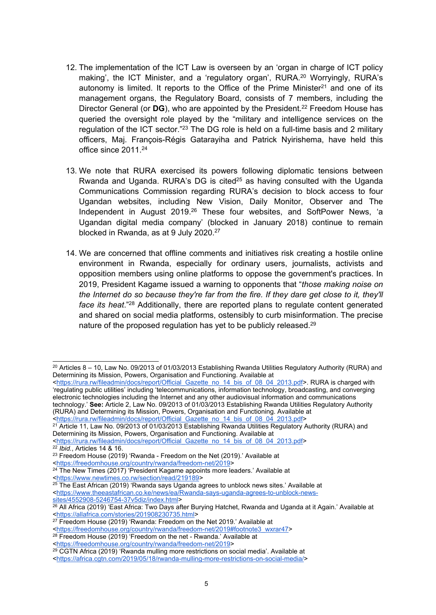- 12. The implementation of the ICT Law is overseen by an 'organ in charge of ICT policy making', the ICT Minister, and <sup>a</sup> 'regulatory organ', RURA. <sup>20</sup> Worryingly, RURA'<sup>s</sup> autonomy is limited. It reports to the Office of the Prime Minister<sup>21</sup> and one of its management organs, the Regulatory Board, consists of 7 members, including the Director General (or **DG**), who are appointed by the President. 22 Freedom House has queried the oversight role played by the "military and intelligence services on the regulation of the ICT sector."<sup>23</sup> The DG role is held on a full-time basis and 2 military officers, Maj. François-Régis Gatarayiha and Patrick Nyirishema, have held this office since 2011. 24
- 13. We note that RURA exercised its powers following diplomatic tensions between Rwanda and Uganda. RURA's DG is cited<sup>25</sup> as having consulted with the Uganda Communications Commission regarding RURA'<sup>s</sup> decision to block access to four Ugandan websites, including New Vision, Daily Monitor, Observer and The Independent in August 2019.<sup>26</sup> These four websites, and SoftPower News, 'a Ugandan digital media company' (blocked in January 2018) continue to remain blocked in Rwanda, as at 9 July 2020. 27
- 14. We are concerned that offline comments and initiatives risk creating <sup>a</sup> hostile online environment in Rwanda, especially for ordinary users, journalists, activists and opposition members using online platforms to oppose the government's practices. In 2019, President Kagame issued <sup>a</sup> warning to opponents that "*those making noise on the Internet do so because they're far from the fire. If they dare get close to it, they'll face its heat*." <sup>28</sup> Additionally, there are reported plans to regulate content generated and shared on social media platforms, ostensibly to curb misinformation. The precise nature of the proposed regulation has yet to be publicly released. $^{29}$

<[https://rura.rw/fileadmin/docs/report/Official\\_Gazette\\_no\\_14\\_bis\\_of\\_08\\_04\\_2013.pdf](https://rura.rw/fileadmin/docs/report/Official_Gazette_no_14_bis_of_08_04_2013.pdf)>  $^{21}$  Article 11, Law No. 09/2013 of 01/03/2013 Establishing Rwanda Utilities Regulatory Authority (RURA) and Determining its Mission, Powers, Organisation and Functioning. Available at

<<https://www.newtimes.co.rw/section/read/219189>>

 $20$  Articles 8 – 10, Law No. 09/2013 of 01/03/2013 Establishing Rwanda Utilities Regulatory Authority (RURA) and Determining its Mission, Powers, Organisation and Functioning. Available at

<sup>&</sup>lt;[https://rura.rw/fileadmin/docs/report/Official\\_Gazette\\_no\\_14\\_bis\\_of\\_08\\_04\\_2013.pdf](https://rura.rw/fileadmin/docs/report/Official_Gazette_no_14_bis_of_08_04_2013.pdf)>. RURA is charged with 'regulating public utilities' including 'telecommunications, information technology, broadcasting, and converging electronic technologies including the Internet and any other audiovisual information and communications technology.' **See:** Article 2, Law No. 09/2013 of 01/03/2013 Establishing Rwanda Utilities Regulatory Authority (RURA) and Determining its Mission, Powers, Organisation and Functioning. Available at

<sup>&</sup>lt;[https://rura.rw/fileadmin/docs/report/Official\\_Gazette\\_no\\_14\\_bis\\_of\\_08\\_04\\_2013.pdf](https://rura.rw/fileadmin/docs/report/Official_Gazette_no_14_bis_of_08_04_2013.pdf)> 22 *Ibid.*, Articles 14 & 16.

<sup>&</sup>lt;sup>23</sup> Freedom House (2019) 'Rwanda - Freedom on the Net (2019).' Available at

<sup>&</sup>lt;<https://freedomhouse.org/country/rwanda/freedom-net/2019>>

<sup>&</sup>lt;sup>24</sup> The New Times (2017) 'President Kagame appoints more leaders.' Available at

<sup>&</sup>lt;sup>25</sup> The East African (2019) 'Rwanda says Uganda agrees to unblock news sites.' Available at <[https://www.theeastafrican.co.ke/news/ea/Rwanda-says-uganda-agrees-to-unblock-news](https://www.theeastafrican.co.ke/news/ea/Rwanda-says-uganda-agrees-to-unblock-news-sites/4552908-5246754-37v5diz/index.html)[sites/4552908-5246754-37v5diz/index.html](https://www.theeastafrican.co.ke/news/ea/Rwanda-says-uganda-agrees-to-unblock-news-sites/4552908-5246754-37v5diz/index.html)>

<sup>&</sup>lt;sup>26</sup> All Africa (2019) 'East Africa: Two Days after Burying Hatchet, Rwanda and Uganda at it Again.' Available at <<https://allafrica.com/stories/201908230735.html>>

<sup>&</sup>lt;sup>27</sup> Freedom House (2019) 'Rwanda: Freedom on the Net 2019.' Available at

<sup>&</sup>lt;<u>[https://freedomhouse.org/country/rwanda/freedom-net/2019#footnote3\\_wxrar47](https://freedomhouse.org/country/rwanda/freedom-net/2019#footnote3_wxrar47)</u>><br><sup>28</sup> Freedom House (2019) 'Freedom on the net - Rwanda.' Available at

<sup>&</sup>lt;<https://freedomhouse.org/country/rwanda/freedom-net/2019>>

<sup>29</sup> CGTN Africa (2019) 'Rwanda mulling more restrictions on social media'. Available at

<sup>&</sup>lt;<https://africa.cgtn.com/2019/05/18/rwanda-mulling-more-restrictions-on-social-media/>>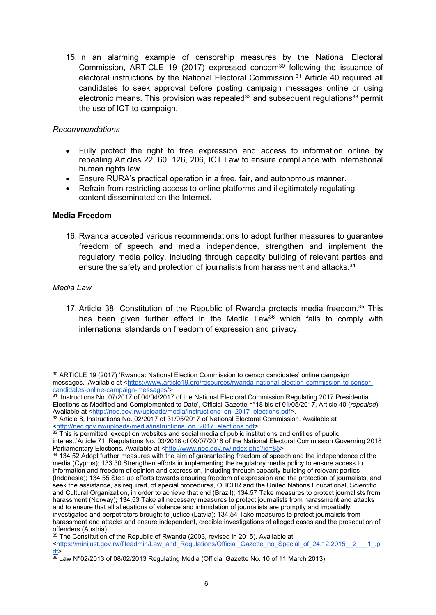15. In an alarming example of censorship measures by the National Electoral Commission, ARTICLE 19 (2017) expressed concern<sup>30</sup> following the issuance of electoral instructions by the National Electoral Commission. <sup>31</sup> Article 40 required all candidates to seek approval before posting campaign messages online or using electronic means. This provision was repealed<sup>32</sup> and subsequent regulations<sup>33</sup> permit the use of ICT to campaign.

#### *Recommendations*

- $\bullet$  Fully protect the right to free expression and access to information online by repealing Articles 22, 60, 126, 206, ICT Law to ensure compliance with international human rights law.
- c Ensure RURA'<sup>s</sup> practical operation in <sup>a</sup> free, fair, and autonomous manner.
- c Refrain from restricting access to online platforms and illegitimately regulating content disseminated on the Internet.

## **Media Freedom**

16. Rwanda accepted various recommendations to adopt further measures to guarantee freedom of speech and media independence, strengthen and implement the regulatory media policy, including through capacity building of relevant parties and ensure the safety and protection of journalists from harassment and attacks. 34

#### *Media Law*

17. Article 38, Constitution of the Republic of Rwanda protects media freedom. 35 This has been given further effect in the Media Law<sup>36</sup> which fails to comply with international standards on freedom of expression and privacy.

<sup>30</sup> ARTICLE 19 (2017) 'Rwanda: National Election Commission to censor candidates' online campaign messages.' Available at <[https://www.article19.org/resources/rwanda-national-election-commission-to-censor-](https://www.article19.org/resources/rwanda-national-election-commission-to-censor-candidates-online-campaign-messages/)

<sup>&</sup>lt;u>[candidates-online-campaign-messages/](https://www.article19.org/resources/rwanda-national-election-commission-to-censor-candidates-online-campaign-messages/)</u>><br><sup>31</sup> 'Instructions No. 07/2017 of 04/04/2017 of the National Electoral Commission Regulating 2017 Presidential Elections as Modified and Complemented to Date', Official Gazette <sup>n</sup>°18 bis of 01/05/2017, Article 40 (*repealed*). Available at <[http://nec.gov.rw/uploads/media/instructions\\_on\\_2017\\_elections.pdf](http://nec.gov.rw/uploads/media/instructions_on_2017_elections.pdf)>.

<sup>32</sup> Article 8, Instructions No. 02/2017 of 31/05/2017 of National Electoral Commission. Available at <<u>[http://nec.gov.rw/uploads/media/instructions\\_on\\_2017\\_elections.pdf](http://nec.gov.rw/uploads/media/instructions_on_2017_elections.pdf)</u>>.<br><sup>33</sup> This is permitted 'except on websites and social media of public institutions and entities of public

interest.'Article 71, Regulations No. 03/2018 of 09/07/2018 of the National Electoral Commission Governing 2018 Parliamentary Elections. Available at <<http://www.nec.gov.rw/index.php?id=85>>

<sup>34</sup> 134.52 Adopt further measures with the aim of guaranteeing freedom of speech and the independence of the media (Cyprus); 133.30 Strengthen efforts in implementing the regulatory media policy to ensure access to information and freedom of opinion and expression, including through capacity-building of relevant parties (Indonesia); 134.55 Step up efforts towards ensuring freedom of expression and the protection of journalists, and seek the assistance, as required, of special procedures, OHCHR and the United Nations Educational, Scientific and Cultural Organization, in order to achieve that end (Brazil); 134.57 Take measures to protect journalists from harassment (Norway); 134.53 Take all necessary measures to protect journalists from harassment and attacks and to ensure that all allegations of violence and intimidation of journalists are promptly and impartially investigated and perpetrators brought to justice (Latvia); 134.54 Take measures to protect journalists from harassment and attacks and ensure independent, credible investigations of alleged cases and the prosecution of

offenders (Austria).<br><sup>35</sup> The Constitution of the Republic of Rwanda (2003, revised in 2015). Available at

<sup>&</sup>lt;[https://minijust.gov.rw/fileadmin/Law\\_and\\_Regulations/Official\\_Gazette\\_no\\_Special\\_of\\_24.12.2015\\_\\_2\\_\\_\\_1\\_.p](https://minijust.gov.rw/fileadmin/Law_and_Regulations/Official_Gazette_no_Special_of_24.12.2015__2___1_.pdf) [df](https://minijust.gov.rw/fileadmin/Law_and_Regulations/Official_Gazette_no_Special_of_24.12.2015__2___1_.pdf)>

<sup>36</sup> Law N°02/2013 of 08/02/2013 Regulating Media (Official Gazette No. 10 of 11 March 2013)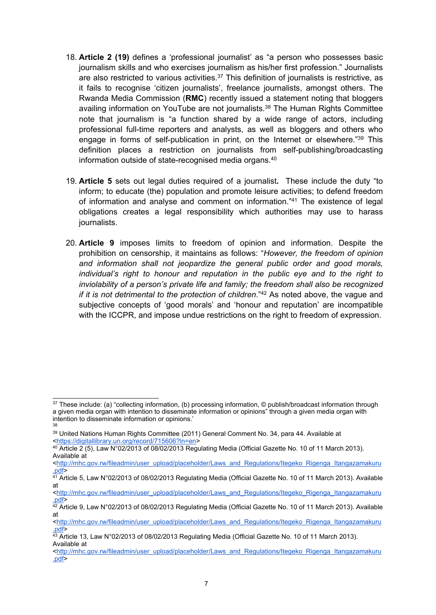- 18. **Article 2 (19)** defines <sup>a</sup> 'professional journalist' as "<sup>a</sup> person who possesses basic journalism skills and who exercises journalism as his/her first profession." Journalists are also restricted to various activities.<sup>37</sup> This definition of journalists is restrictive, as it fails to recognise 'citizen journalists', freelance journalists, amongst others. The Rwanda Media Commission (**RMC**) recently issued <sup>a</sup> statement noting that bloggers availing information on YouTube are not journalists*.* 38 The Human Rights Committee note that journalism is "<sup>a</sup> function shared by <sup>a</sup> wide range of actors, including professional full-time reporters and analysts, as well as bloggers and others who engage in forms of self-publication in print, on the Internet or elsewhere." 39 This definition places <sup>a</sup> restriction on journalists from self-publishing/broadcasting information outside of state-recognised media organs. 40
- 19. **Article 5** sets out legal duties required of <sup>a</sup> journalist**.** These include the duty "to inform; to educate (the) population and promote leisure activities; to defend freedom of information and analyse and comment on information." 41 The existence of legal obligations creates <sup>a</sup> legal responsibility which authorities may use to harass journalists.
- 20. **Article 9** imposes limits to freedom of opinion and information. Despite the prohibition on censorship, it maintains as follows: "*However, the freedom of opinion and information shall not jeopardize the general public order and good morals, individual'<sup>s</sup> right to honour and reputation in the public eye and to the right to inviolability of <sup>a</sup> person'<sup>s</sup> private life and family; the freedom shall also be recognized if it is not detrimental to the protection of children*." <sup>42</sup> As noted above, the vague and subjective concepts of 'good morals' and 'honour and reputation' are incompatible with the ICCPR, and impose undue restrictions on the right to freedom of expression.

 $^{37}$  These include: (a) "collecting information, (b) processing information, © publish/broadcast information through <sup>a</sup> given media organ with intention to disseminate information or opinions" through <sup>a</sup> given media organ with intention to disseminate information or opinions.' 38

<sup>39</sup> United Nations Human Rights Committee (2011) General Comment No. 34, para 44. Available at <<https://digitallibrary.un.org/record/715606?ln=en>>

<sup>&</sup>lt;sup>40</sup> Article 2 (5), Law N°02/2013 of 08/02/2013 Regulating Media (Official Gazette No. 10 of 11 March 2013). Available at

<sup>&</sup>lt;[http://mhc.gov.rw/fileadmin/user\\_upload/placeholder/Laws\\_and\\_Regulations/Itegeko\\_Rigenga\\_Itangazamakuru](http://mhc.gov.rw/fileadmin/user_upload/placeholder/Laws_and_Regulations/Itegeko_Rigenga_Itangazamakuru.pdf) [.pdf](http://mhc.gov.rw/fileadmin/user_upload/placeholder/Laws_and_Regulations/Itegeko_Rigenga_Itangazamakuru.pdf)>

<sup>41</sup> Article 5, Law N°02/2013 of 08/02/2013 Regulating Media (Official Gazette No. 10 of 11 March 2013). Available at

<sup>&</sup>lt;[http://mhc.gov.rw/fileadmin/user\\_upload/placeholder/Laws\\_and\\_Regulations/Itegeko\\_Rigenga\\_Itangazamakuru](http://mhc.gov.rw/fileadmin/user_upload/placeholder/Laws_and_Regulations/Itegeko_Rigenga_Itangazamakuru.pdf) [.pdf](http://mhc.gov.rw/fileadmin/user_upload/placeholder/Laws_and_Regulations/Itegeko_Rigenga_Itangazamakuru.pdf)>

 $^{42}$  Article 9, Law N°02/2013 of 08/02/2013 Regulating Media (Official Gazette No. 10 of 11 March 2013). Available at

<sup>&</sup>lt;[http://mhc.gov.rw/fileadmin/user\\_upload/placeholder/Laws\\_and\\_Regulations/Itegeko\\_Rigenga\\_Itangazamakuru](http://mhc.gov.rw/fileadmin/user_upload/placeholder/Laws_and_Regulations/Itegeko_Rigenga_Itangazamakuru.pdf) [.pdf](http://mhc.gov.rw/fileadmin/user_upload/placeholder/Laws_and_Regulations/Itegeko_Rigenga_Itangazamakuru.pdf)>

 $^{43}$  Article 13, Law N°02/2013 of 08/02/2013 Regulating Media (Official Gazette No. 10 of 11 March 2013). Available at

<sup>&</sup>lt;[http://mhc.gov.rw/fileadmin/user\\_upload/placeholder/Laws\\_and\\_Regulations/Itegeko\\_Rigenga\\_Itangazamakuru](http://mhc.gov.rw/fileadmin/user_upload/placeholder/Laws_and_Regulations/Itegeko_Rigenga_Itangazamakuru.pdf) [.pdf](http://mhc.gov.rw/fileadmin/user_upload/placeholder/Laws_and_Regulations/Itegeko_Rigenga_Itangazamakuru.pdf)>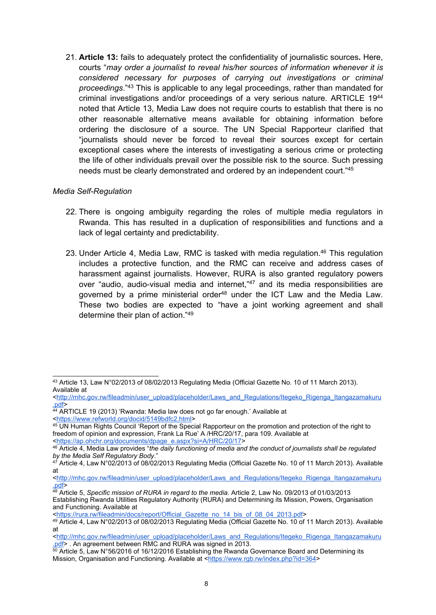21. **Article 13:** fails to adequately protect the confidentiality of journalistic sources**.** Here, courts "*may order <sup>a</sup> journalist to reveal his/her sources of information whenever it is considered necessary for purposes of carrying out investigations or criminal proceedings*." 43 This is applicable to any legal proceedings, rather than mandated for criminal investigations and/or proceedings of <sup>a</sup> very serious nature. ARTICLE 19<sup>44</sup> noted that Article 13, Media Law does not require courts to establish that there is no other reasonable alternative means available for obtaining information before ordering the disclosure of <sup>a</sup> source. The UN Special Rapporteur clarified that "journalists should never be forced to reveal their sources except for certain exceptional cases where the interests of investigating <sup>a</sup> serious crime or protecting the life of other individuals prevail over the possible risk to the source. Such pressing needs must be clearly demonstrated and ordered by an independent court." 45

#### *Media Self-Regulation*

- 22. There is ongoing ambiguity regarding the roles of multiple media regulators in Rwanda. This has resulted in <sup>a</sup> duplication of responsibilities and functions and <sup>a</sup> lack of legal certainty and predictability.
- 23. Under Article 4, Media Law, RMC is tasked with media regulation.<sup>46</sup> This regulation includes <sup>a</sup> protective function, and the RMC can receive and address cases of harassment against journalists. However, RURA is also granted regulatory powers over "audio, audio-visual media and internet,"<sup>47</sup> and its media responsibilities are governed by a prime ministerial order<sup>48</sup> under the ICT Law and the Media Law. These two bodies are expected to "have <sup>a</sup> joint working agreement and shall determine their plan of action." 49

<sup>43</sup> Article 13, Law N°02/2013 of 08/02/2013 Regulating Media (Official Gazette No. 10 of 11 March 2013). Available at

<sup>&</sup>lt;[http://mhc.gov.rw/fileadmin/user\\_upload/placeholder/Laws\\_and\\_Regulations/Itegeko\\_Rigenga\\_Itangazamakuru](http://mhc.gov.rw/fileadmin/user_upload/placeholder/Laws_and_Regulations/Itegeko_Rigenga_Itangazamakuru.pdf) [.pdf](http://mhc.gov.rw/fileadmin/user_upload/placeholder/Laws_and_Regulations/Itegeko_Rigenga_Itangazamakuru.pdf)>

<sup>44</sup> ARTICLE 19 (2013) 'Rwanda: Media law does not go far enough.' Available at <<https://www.refworld.org/docid/5149bdfc2.html>>

<sup>45</sup> UN Human Rights Council 'Report of the Special Rapporteur on the promotion and protection of the right to freedom of opinion and expression, Frank La Rue' A/HRC/20/17, para 109. Available at <[https://ap.ohchr.org/documents/dpage\\_e.aspx?si=A/HRC/20/17](https://ap.ohchr.org/documents/dpage_e.aspx?si=A/HRC/20/17)>

<sup>46</sup> Article 4, Media Law provides "*the daily functioning of media and the conduct of journalists shall be regulated by the Media Self Regulatory Body*."

<sup>47</sup> Article 4, Law N°02/2013 of 08/02/2013 Regulating Media (Official Gazette No. 10 of 11 March 2013). Available at

<sup>&</sup>lt;[http://mhc.gov.rw/fileadmin/user\\_upload/placeholder/Laws\\_and\\_Regulations/Itegeko\\_Rigenga\\_Itangazamakuru](http://mhc.gov.rw/fileadmin/user_upload/placeholder/Laws_and_Regulations/Itegeko_Rigenga_Itangazamakuru.pdf) [.pdf](http://mhc.gov.rw/fileadmin/user_upload/placeholder/Laws_and_Regulations/Itegeko_Rigenga_Itangazamakuru.pdf)>

<sup>48</sup> Article 5, *Specific mission of RURA in regard to the media.* Article 2, Law No. 09/2013 of 01/03/2013 Establishing Rwanda Utilities Regulatory Authority (RURA) and Determining its Mission, Powers, Organisation and Functioning. Available at

<sup>&</sup>lt;[https://rura.rw/fileadmin/docs/report/Official\\_Gazette\\_no\\_14\\_bis\\_of\\_08\\_04\\_2013.pdf](https://rura.rw/fileadmin/docs/report/Official_Gazette_no_14_bis_of_08_04_2013.pdf)>

<sup>49</sup> Article 4, Law N°02/2013 of 08/02/2013 Regulating Media (Official Gazette No. 10 of 11 March 2013). Available at

<sup>&</sup>lt;[http://mhc.gov.rw/fileadmin/user\\_upload/placeholder/Laws\\_and\\_Regulations/Itegeko\\_Rigenga\\_Itangazamakuru](http://mhc.gov.rw/fileadmin/user_upload/placeholder/Laws_and_Regulations/Itegeko_Rigenga_Itangazamakuru.pdf) .<u>pdf</u>> . An agreement between RMC and RURA was signed in 2013.

 $^{\rm 50}$  Article 5, Law N°56/2016 of 16/12/2016 Establishing the Rwanda Governance Board and Determining its Mission, Organisation and Functioning. Available at <<https://www.rgb.rw/index.php?id=364>>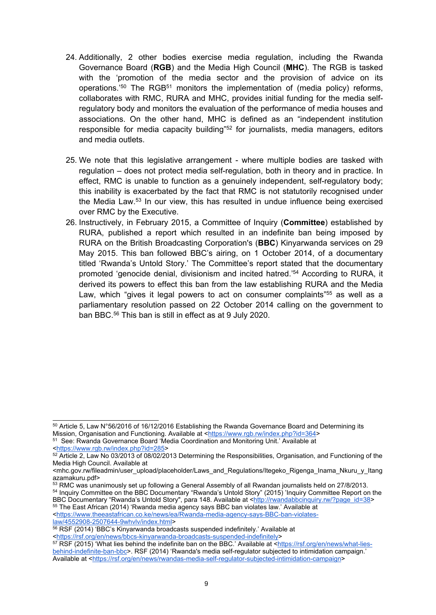- 24. Additionally, 2 other bodies exercise media regulation, including the Rwanda Governance Board (**RGB**) and the Media High Council (**MHC**). The RGB is tasked with the 'promotion of the media sector and the provision of advice on its operations.'<sup>50</sup> The RGB<sup>51</sup> monitors the implementation of (media policy) reforms, collaborates with RMC, RURA and MHC, provides initial funding for the media selfregulatory body and monitors the evaluation of the performance of media houses and associations. On the other hand, MHC is defined as an "independent institution responsible for media capacity building"<sup>52</sup> for journalists, media managers, editors and media outlets.
- 25. We note that this legislative arrangement where multiple bodies are tasked with regulation – does not protect media self-regulation, both in theory and in practice. In effect, RMC is unable to function as <sup>a</sup> genuinely independent, self-regulatory body; this inability is exacerbated by the fact that RMC is not statutorily recognised under the Media Law.<sup>53</sup> In our view, this has resulted in undue influence being exercised over RMC by the Executive.
- 26. Instructively, in February 2015, <sup>a</sup> Committee of Inquiry (**Committee**) established by RURA, published <sup>a</sup> report which resulted in an indefinite ban being imposed by RURA on the British Broadcasting Corporation's (**BBC**) Kinyarwanda services on 29 May 2015. This ban followed BBC'<sup>s</sup> airing, on 1 October 2014, of <sup>a</sup> documentary titled 'Rwanda'<sup>s</sup> Untold Story.' The Committee'<sup>s</sup> report stated that the documentary promoted 'genocide denial, divisionism and incited hatred.' <sup>54</sup> According to RURA, it derived its powers to effect this ban from the law establishing RURA and the Media Law, which "gives it legal powers to act on consumer complaints"<sup>55</sup> as well as a parliamentary resolution passed on 22 October 2014 calling on the government to ban BBC. 56 This ban is still in effect as at 9 July 2020.

<sup>55</sup> The East African (2014) 'Rwanda media agency says BBC ban violates law.' Available at <[https://www.theeastafrican.co.ke/news/ea/Rwanda-media-agency-says-BBC-ban-violates](https://www.theeastafrican.co.ke/news/ea/Rwanda-media-agency-says-BBC-ban-violates-law/4552908-2507644-9whvlv/index.html)[law/4552908-2507644-9whvlv/index.html](https://www.theeastafrican.co.ke/news/ea/Rwanda-media-agency-says-BBC-ban-violates-law/4552908-2507644-9whvlv/index.html)>

<sup>50</sup> Article 5, Law N°56/2016 of 16/12/2016 Establishing the Rwanda Governance Board and Determining its Mission, Organisation and Functioning. Available at <<https://www.rgb.rw/index.php?id=364>>

<sup>51</sup> See: Rwanda Governance Board 'Media Coordination and Monitoring Unit.' Available at <<https://www.rgb.rw/index.php?id=285>>

<sup>52</sup> Article 2, Law No 03/2013 of 08/02/2013 Determining the Responsibilities, Organisation, and Functioning of the Media High Council. Available at

<sup>&</sup>lt;mhc.gov.rw/fileadmin/user\_upload/placeholder/Laws\_and\_Regulations/Itegeko\_Rigenga\_Inama\_Nkuru\_y\_Itang azamakuru.pdf>

<sup>53</sup> RMC was unanimously set up following a General Assembly of all Rwandan journalists held on 27/8/2013. 54 Inquiry Committee on the BBC Documentary "Rwanda'<sup>s</sup> Untold Story" (2015) 'Inquiry Committee Report on the BBC Documentary "Rwanda's Untold Story", para 148. Available at <[http://rwandabbcinquiry.rw/?page\\_id=38](http://rwandabbcinquiry.rw/?page_id=38)>

<sup>56</sup> RSF (2014) 'BBC'<sup>s</sup> Kinyarwanda broadcasts suspended indefinitely.' Available at

<sup>&</sup>lt;<https://rsf.org/en/news/bbcs-kinyarwanda-broadcasts-suspended-indefinitely>>

<sup>57</sup> RSF (2015) 'What lies behind the indefinite ban on the BBC.' Available at <[https://rsf.org/en/news/what-lies](https://rsf.org/en/news/what-lies-behind-indefinite-ban-bbc)[behind-indefinite-ban-bbc](https://rsf.org/en/news/what-lies-behind-indefinite-ban-bbc)>. RSF (2014) 'Rwanda's media self-regulator subjected to intimidation campaign.' Available at <<https://rsf.org/en/news/rwandas-media-self-regulator-subjected-intimidation-campaign>>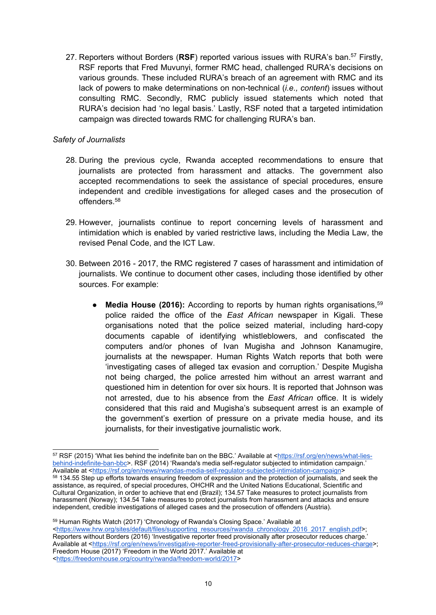27. Reporters without Borders (**RSF**) reported various issues with RURA'<sup>s</sup> ban. 57 Firstly, RSF reports that Fred Muvunyi, former RMC head, challenged RURA'<sup>s</sup> decisions on various grounds. These included RURA'<sup>s</sup> breach of an agreement with RMC and its lack of powers to make determinations on non-technical (*i.e., content*) issues without consulting RMC. Secondly, RMC publicly issued statements which noted that RURA'<sup>s</sup> decision had 'no legal basis.' Lastly, RSF noted that <sup>a</sup> targeted intimidation campaign was directed towards RMC for challenging RURA'<sup>s</sup> ban.

## *Safety of Journalists*

- 28. During the previous cycle, Rwanda accepted recommendations to ensure that journalists are protected from harassment and attacks. The government also accepted recommendations to seek the assistance of special procedures, ensure independent and credible investigations for alleged cases and the prosecution of offenders. 58
- 29. However, journalists continue to report concerning levels of harassment and intimidation which is enabled by varied restrictive laws, including the Media Law, the revised Penal Code, and the ICT Law.
- 30. Between 2016 2017, the RMC registered 7 cases of harassment and intimidation of journalists. We continue to document other cases, including those identified by other sources. For example:
	- ●• Media House (2016): According to reports by human rights organisations,<sup>59</sup> police raided the office of the *East African* newspaper in Kigali. These organisations noted that the police seized material, including hard-copy documents capable of identifying whistleblowers, and confiscated the computers and/or phones of Ivan Mugisha and Johnson Kanamugire, journalists at the newspaper. Human Rights Watch reports that both were 'investigating cases of alleged tax evasion and corruption.' Despite Mugisha not being charged, the police arrested him without an arrest warrant and questioned him in detention for over six hours. It is reported that Johnson was not arrested, due to his absence from the *East African* office. It is widely considered that this raid and Mugisha'<sup>s</sup> subsequent arrest is an example of the government'<sup>s</sup> exertion of pressure on <sup>a</sup> private media house, and its journalists, for their investigative journalistic work.

<sup>57</sup> RSF (2015) 'What lies behind the indefinite ban on the BBC.' Available at <[https://rsf.org/en/news/what-lies](https://rsf.org/en/news/what-lies-behind-indefinite-ban-bbc)[behind-indefinite-ban-bbc](https://rsf.org/en/news/what-lies-behind-indefinite-ban-bbc)>. RSF (2014) 'Rwanda's media self-regulator subjected to intimidation campaign.' Available at <<https://rsf.org/en/news/rwandas-media-self-regulator-subjected-intimidation-campaign>>  $^{58}$  134.55 Step up efforts towards ensuring freedom of expression and the protection of journalists, and seek the assistance, as required, of special procedures, OHCHR and the United Nations Educational, Scientific and Cultural Organization, in order to achieve that end (Brazil); 134.57 Take measures to protect journalists from harassment (Norway); 134.54 Take measures to protect journalists from harassment and attacks and ensure independent, credible investigations of alleged cases and the prosecution of offenders (Austria).

<sup>59</sup> Human Rights Watch (2017) 'Chronology of Rwanda'<sup>s</sup> Closing Space.' Available at <[https://www.hrw.org/sites/default/files/supporting\\_resources/rwanda\\_chronology\\_2016\\_2017\\_english.pdf](https://www.hrw.org/sites/default/files/supporting_resources/rwanda_chronology_2016_2017_english.pdf)>; Reporters without Borders (2016) 'Investigative reporter freed provisionally after prosecutor reduces charge.' Available at <<https://rsf.org/en/news/investigative-reporter-freed-provisionally-after-prosecutor-reduces-charge>>; Freedom House (2017) 'Freedom in the World 2017.' Available at <<https://freedomhouse.org/country/rwanda/freedom-world/2017>>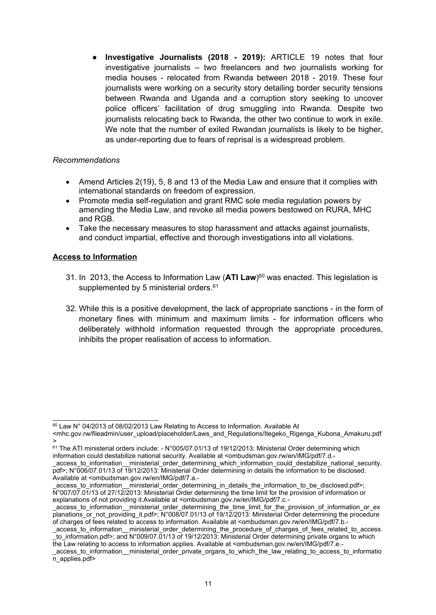● **Investigative Journalists (2018 - 2019):** ARTICLE 19 notes that four investigative journalists – two freelancers and two journalists working for media houses - relocated from Rwanda between 2018 - 2019. These four journalists were working on <sup>a</sup> security story detailing border security tensions between Rwanda and Uganda and <sup>a</sup> corruption story seeking to uncover police officers' facilitation of drug smuggling into Rwanda. Despite two journalists relocating back to Rwanda, the other two continue to work in exile. We note that the number of exiled Rwandan journalists is likely to be higher, as under-reporting due to fears of reprisal is <sup>a</sup> widespread problem.

#### *Recommendations*

- $\bullet$  Amend Articles 2(19), 5, 8 and 13 of the Media Law and ensure that it complies with international standards on freedom of expression.
- $\bullet$  Promote media self-regulation and grant RMC sole media regulation powers by amending the Media Law, and revoke all media powers bestowed on RURA, MHC and RGB.
- c Take the necessary measures to stop harassment and attacks against journalists, and conduct impartial, effective and thorough investigations into all violations.

## **Access to Information**

- 31. In 2013, the Access to Information Law (**ATI Law**) <sup>60</sup> was enacted. This legislation is supplemented by 5 ministerial orders.<sup>61</sup>
- 32. While this is <sup>a</sup> positive development, the lack of appropriate sanctions in the form of monetary fines with minimum and maximum limits - for information officers who deliberately withhold information requested through the appropriate procedures, inhibits the proper realisation of access to information.

\_access\_to\_information\_\_ministerial\_order\_determining\_the\_procedure\_of\_charges\_of\_fees\_related\_to\_access \_to\_information.pdf>; and N°009/07.01/13 of 19/12/2013: Ministerial Order determining private organs to which the Law relating to access to information applies. Available at <ombudsman.gov.rw/en/IMG/pdf/7.e.-

 $^{\scriptsize{60}}$  Law N° 04/2013 of 08/02/2013 Law Relating to Access to Information. Available At

<sup>&</sup>lt;mhc.gov.rw/fileadmin/user\_upload/placeholder/Laws\_and\_Regulations/Itegeko\_Rigenga\_Kubona\_Amakuru.pdf >

 $^{61}$  The ATI ministerial orders include: - N°005/07.01/13 of 19/12/2013: Ministerial Order determining which information could destabilize national security. Available at <ombudsman.gov.rw/en/IMG/pdf/7.d.-

\_access\_to\_information\_\_ministerial\_order\_determining\_which\_information\_could\_destabilize\_national\_security. pdf>; N°006/07.01/13 of 19/12/2013: Ministerial Order determining in details the information to be disclosed. Available at <ombudsman.gov.rw/en/IMG/pdf/7.a.-

access to information ministerial order determining in details the information to be disclosed.pdf>; N°007/07.01/13 of 27/12/2013: Ministerial Order determining the time limit for the provision of information or explanations of not providing it. Available at <ombudsman.gov.rw/en/IMG/pdf/7.c.-

\_access\_to\_information\_\_ministerial\_order\_determining\_the\_time\_limit\_for\_the\_provision\_of\_information\_or\_ex planations\_or\_not\_providing\_it.pdf>; N°008/07.01/13 of 19/12/2013: Ministerial Order determining the procedure of charges of fees related to access to information. Available at <ombudsman.gov.rw/en/IMG/pdf/7.b.-

access to information ministerial order private organs to which the law relating to access to informatio  $\overline{n}$  applies.pdf>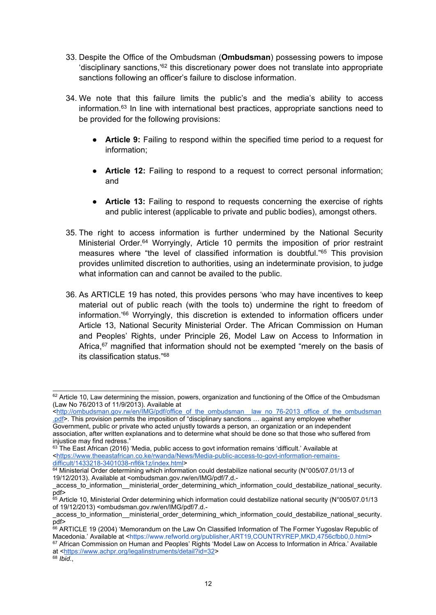- 33. Despite the Office of the Ombudsman (**Ombudsman**) possessing powers to impose 'disciplinary sanctions,'<sup>62</sup> this discretionary power does not translate into appropriate sanctions following an officer'<sup>s</sup> failure to disclose information.
- 34. We note that this failure limits the public'<sup>s</sup> and the media'<sup>s</sup> ability to access information.<sup>63</sup> In line with international best practices, appropriate sanctions need to be provided for the following provisions:
	- **Article 9:** Failing to respond within the specified time period to a request for information;
	- **Article 12:** Failing to respond to a request to correct personal information; and
	- **Article 13:** Failing to respond to requests concerning the exercise of rights and public interest (applicable to private and public bodies), amongst others.
- 35. The right to access information is further undermined by the National Security Ministerial Order. <sup>64</sup> Worryingly, Article 10 permits the imposition of prior restraint measures where "the level of classified information is doubtful." 65 This provision provides unlimited discretion to authorities, using an indeterminate provision, to judge what information can and cannot be availed to the public.
- 36. As ARTICLE 19 has noted, this provides persons 'who may have incentives to keep material out of public reach (with the tools to) undermine the right to freedom of information.' <sup>66</sup> Worryingly, this discretion is extended to information officers under Article 13, National Security Ministerial Order. The African Commission on Human and Peoples' Rights, under Principle 26, Model Law on Access to Information in Africa,<sup>67</sup> magnified that information should not be exempted "merely on the basis of its classification status." 68

 $62$  Article 10, Law determining the mission, powers, organization and functioning of the Office of the Ombudsman (Law No 76/2013 of 11/9/2013). Available at

<sup>&</sup>lt;http://ombudsman.gov.rw/en/IMG/pdf/office\_of\_the\_ombudsman\_law\_no\_76-2013\_office\_of\_the\_ombudsman [.pdf](http://ombudsman.gov.rw/en/IMG/pdf/office_of_the_ombudsman__law_no_76-2013_office_of_the_ombudsman.pdf)>. This provision permits the imposition of "disciplinary sanctions ... against any employee whether Government, public or private who acted unjustly towards <sup>a</sup> person, an organization or an independent association, after written explanations and to determine what should be done so that those who suffered from injustice may find redress."

 $\rm ^{63}$  The East African (2016) 'Media, public access to govt information remains 'difficult.' Available at <[https://www.theeastafrican.co.ke/rwanda/News/Media-public-access-to-govt-information-remains](https://www.theeastafrican.co.ke/rwanda/News/Media-public-access-to-govt-information-remains-difficult/1433218-3401038-nfl6k1z/index.html)[difficult/1433218-3401038-nfl6k1z/index.html](https://www.theeastafrican.co.ke/rwanda/News/Media-public-access-to-govt-information-remains-difficult/1433218-3401038-nfl6k1z/index.html)>

<sup>64</sup> Ministerial Order determining which information could destabilize national security (N°005/07.01/13 of 19/12/2013). Available at <ombudsman.gov.rw/en/IMG/pdf/7.d.-

access to information \_ministerial\_order\_determining\_which\_information\_could\_destabilize\_national\_security. pdf>

 $^{65}$  Article 10, Ministerial Order determining which information could destabilize national security (N°005/07.01/13 of 19/12/2013) <ombudsman.gov.rw/en/IMG/pdf/7.d.-

\_access\_to\_information\_\_ministerial\_order\_determining\_which\_information\_could\_destabilize\_national\_security. pdf>

 $^{66}$  ARTICLE 19 (2004) 'Memorandum on the Law On Classified Information of The Former Yugoslav Republic of Macedonia.' Available at <<https://www.refworld.org/publisher,ART19,COUNTRYREP,MKD,4756cfbb0,0.html>>

<sup>67</sup> African Commission on Human and Peoples' Rights 'Model Law on Access to Information in Africa.' Available at <<https://www.achpr.org/legalinstruments/detail?id=32>>

<sup>68</sup> *Ibid*.,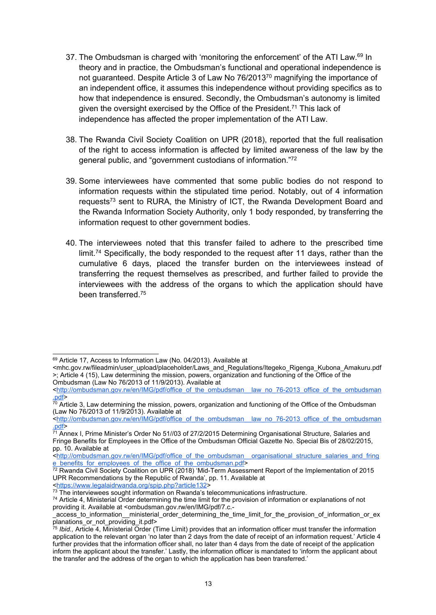- 37. The Ombudsman is charged with 'monitoring the enforcement' of the ATI Law.<sup>69</sup> In theory and in practice, the Ombudsman'<sup>s</sup> functional and operational independence is not guaranteed. Despite Article 3 of Law No 76/2013<sup>70</sup> magnifying the importance of an independent office, it assumes this independence without providing specifics as to how that independence is ensured. Secondly, the Ombudsman'<sup>s</sup> autonomy is limited given the oversight exercised by the Office of the President.<sup>71</sup> This lack of independence has affected the proper implementation of the ATI Law.
- 38. The Rwanda Civil Society Coalition on UPR (2018), reported that the full realisation of the right to access information is affected by limited awareness of the law by the general public, and "government custodians of information."<sup>72</sup>
- 39. Some interviewees have commented that some public bodies do not respond to information requests within the stipulated time period. Notably, out of 4 information requests<sup>73</sup> sent to RURA, the Ministry of ICT, the Rwanda Development Board and the Rwanda Information Society Authority, only 1 body responded, by transferring the information request to other government bodies.
- 40. The interviewees noted that this transfer failed to adhere to the prescribed time limit.<sup>74</sup> Specifically, the body responded to the request after 11 days, rather than the cumulative 6 days, placed the transfer burden on the interviewees instead of transferring the request themselves as prescribed, and further failed to provide the interviewees with the address of the organs to which the application should have been transferred. 75

<sup>69</sup> Article 17, Access to Information Law (No. 04/2013). Available at

<sup>&</sup>lt;mhc.gov.rw/fileadmin/user\_upload/placeholder/Laws\_and\_Regulations/Itegeko\_Rigenga\_Kubona\_Amakuru.pdf >; Article 4 (15), Law determining the mission, powers, organization and functioning of the Office of the Ombudsman (Law No 76/2013 of 11/9/2013). Available at

<sup>&</sup>lt;[http://ombudsman.gov.rw/en/IMG/pdf/office\\_of\\_the\\_ombudsman\\_\\_law\\_no\\_76-2013\\_office\\_of\\_the\\_ombudsman](http://ombudsman.gov.rw/en/IMG/pdf/office_of_the_ombudsman__law_no_76-2013_office_of_the_ombudsman.pdf) [.pdf](http://ombudsman.gov.rw/en/IMG/pdf/office_of_the_ombudsman__law_no_76-2013_office_of_the_ombudsman.pdf)>

 $^{\rm 70}$  Article 3, Law determining the mission, powers, organization and functioning of the Office of the Ombudsman (Law No 76/2013 of 11/9/2013). Available at

<sup>&</sup>lt;http://ombudsman.gov.rw/en/IMG/pdf/office\_of\_the\_ombudsman\_law\_no\_76-2013\_office\_of\_the\_ombudsman [.pdf](http://ombudsman.gov.rw/en/IMG/pdf/office_of_the_ombudsman__law_no_76-2013_office_of_the_ombudsman.pdf)>

<sup>&</sup>lt;sup>71</sup> Annex I, Prime Minister's Order No 51//03 of 27/2/2015 Determining Organisational Structure, Salaries and Fringe Benefits for Employees in the Office of the Ombudsman Official Gazette No. Special Bis of 28/02/2015, pp. 10. Available at

<sup>&</sup>lt;[http://ombudsman.gov.rw/en/IMG/pdf/office\\_of\\_the\\_ombudsman\\_\\_organisational\\_structure\\_salaries\\_and\\_fring](http://ombudsman.gov.rw/en/IMG/pdf/office_of_the_ombudsman__organisational_structure_salaries_and_fringe_benefits_for_employees_of_the_office_of_the_ombudsman.pdf) [e\\_benefits\\_for\\_employees\\_of\\_the\\_office\\_of\\_the\\_ombudsman.pdf](http://ombudsman.gov.rw/en/IMG/pdf/office_of_the_ombudsman__organisational_structure_salaries_and_fringe_benefits_for_employees_of_the_office_of_the_ombudsman.pdf)>

 $^{72}$  Rwanda Civil Society Coalition on UPR (2018) 'Mid-Term Assessment Report of the Implementation of 2015 UPR Recommendations by the Republic of Rwanda', pp. 11. Available at

<sup>&</sup>lt;<https://www.legalaidrwanda.org/spip.php?article132>>

 $^{73}$  The interviewees sought information on Rwanda's telecommunications infrastructure.

<sup>74</sup> Article 4, Ministerial Order determining the time limit for the provision of information or explanations of not providing it. Available at <ombudsman.gov.rw/en/IMG/pdf/7.c.-

\_access\_to\_information\_\_ministerial\_order\_determining\_the\_time\_limit\_for\_the\_provision\_of\_information\_or\_ex

planations\_or\_not\_providing\_it.pdf> 75 *Ibid.,* Article 4, Ministerial Order (Time Limit) provides that an information officer must transfer the information application to the relevant organ 'no later than 2 days from the date of receipt of an information request.' Article 4 further provides that the information officer shall, no later than 4 days from the date of receipt of the application inform the applicant about the transfer.' Lastly, the information officer is mandated to 'inform the applicant about the transfer and the address of the organ to which the application has been transferred.'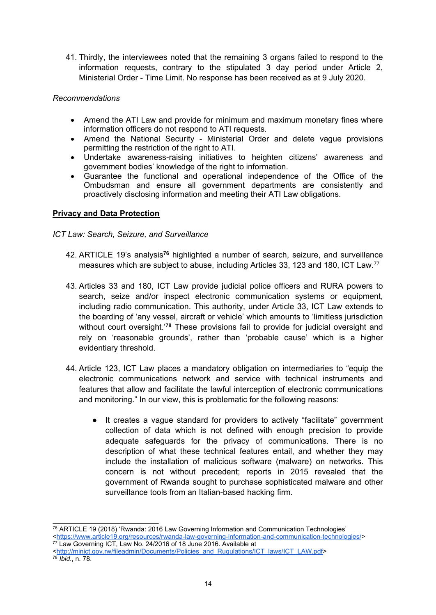41. Thirdly, the interviewees noted that the remaining 3 organs failed to respond to the information requests, contrary to the stipulated 3 day period under Article 2, Ministerial Order - Time Limit. No response has been received as at 9 July 2020.

### *Recommendations*

- Amend the ATI Law and provide for minimum and maximum monetary fines where information officers do not respond to ATI requests.
- Amend the National Security Ministerial Order and delete vague provisions permitting the restriction of the right to ATI.
- Undertake awareness-raising initiatives to heighten citizens' awareness and government bodies' knowledge of the right to information.
- $\bullet$  Guarantee the functional and operational independence of the Office of the Ombudsman and ensure all government departments are consistently and proactively disclosing information and meeting their ATI Law obligations.

## **Privacy and Data Protection**

*ICT Law: Search, Seizure, and Surveillance*

- 42. ARTICLE 19'<sup>s</sup> analysis**<sup>76</sup>** highlighted <sup>a</sup> number of search, seizure, and surveillance measures which are subject to abuse, including Articles 33, 123 and 180, ICT Law. 77
- 43. Articles 33 and 180, ICT Law provide judicial police officers and RURA powers to search, seize and/or inspect electronic communication systems or equipment, including radio communication. This authority, under Article 33, ICT Law extends to the boarding of 'any vessel, aircraft or vehicle' which amounts to 'limitless jurisdiction without court oversight.'<sup>78</sup> These provisions fail to provide for judicial oversight and rely on 'reasonable grounds', rather than 'probable cause' which is <sup>a</sup> higher evidentiary threshold.
- 44. Article 123, ICT Law places <sup>a</sup> mandatory obligation on intermediaries to "equip the electronic communications network and service with technical instruments and features that allow and facilitate the lawful interception of electronic communications and monitoring." In our view, this is problematic for the following reasons:
	- ● It creates <sup>a</sup> vague standard for providers to actively "facilitate" government collection of data which is not defined with enough precision to provide adequate safeguards for the privacy of communications. There is no description of what these technical features entail, and whether they may include the installation of malicious software (malware) on networks. This concern is not without precedent; reports in 2015 revealed that the government of Rwanda sought to purchase sophisticated malware and other surveillance tools from an Italian-based hacking firm.

<sup>76</sup> ARTICLE 19 (2018) 'Rwanda: 2016 Law Governing Information and Communication Technologies' <<https://www.article19.org/resources/rwanda-law-governing-information-and-communication-technologies/>> 77 Law Governing ICT, Law No. 24/2016 of 18 June 2016. Available at

<sup>&</sup>lt;[http://minict.gov.rw/fileadmin/Documents/Policies\\_and\\_Rugulations/ICT\\_laws/ICT\\_LAW.pdf](http://minict.gov.rw/fileadmin/Documents/Policies_and_Rugulations/ICT_laws/ICT_LAW.pdf)> 78 *Ibid*., n. 78.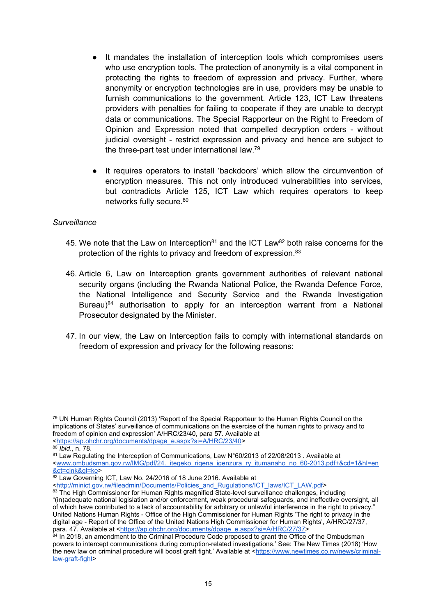- ● It mandates the installation of interception tools which compromises users who use encryption tools. The protection of anonymity is <sup>a</sup> vital component in protecting the rights to freedom of expression and privacy. Further, where anonymity or encryption technologies are in use, providers may be unable to furnish communications to the government. Article 123, ICT Law threatens providers with penalties for failing to cooperate if they are unable to decrypt data or communications. The Special Rapporteur on the Right to Freedom of Opinion and Expression noted that compelled decryption orders - without judicial oversight - restrict expression and privacy and hence are subject to the three-part test under international law.<sup>79</sup>
- It requires operators to install 'backdoors' which allow the circumvention of encryption measures. This not only introduced vulnerabilities into services, but contradicts Article 125, ICT Law which requires operators to keep networks fully secure. 80

#### *Surveillance*

- 45. We note that the Law on Interception $^{\rm 81}$  and the ICT Law $^{\rm 82}$  both raise concerns for the protection of the rights to privacy and freedom of expression.<sup>83</sup>
- 46. Article 6, Law on Interception grants government authorities of relevant national security organs (including the Rwanda National Police, the Rwanda Defence Force, the National Intelligence and Security Service and the Rwanda Investigation Bureau) 84 authorisation to apply for an interception warrant from <sup>a</sup> National Prosecutor designated by the Minister.
- 47. In our view, the Law on Interception fails to comply with international standards on freedom of expression and privacy for the following reasons:

<sup>79</sup> UN Human Rights Council (2013) 'Report of the Special Rapporteur to the Human Rights Council on the implications of States' surveillance of communications on the exercise of the human rights to privacy and to freedom of opinion and expression' A/HRC/23/40, para 57. Available at <[https://ap.ohchr.org/documents/dpage\\_e.aspx?si=A/HRC/23/40](https://ap.ohchr.org/documents/dpage_e.aspx?si=A/HRC/23/40)>

<sup>80</sup> *Ibid*., n. 78.

 $^{\text{81}}$  Law Regulating the Interception of Communications, Law N°60/2013 of 22/08/2013 . Available at <[www.ombudsman.gov.rw/IMG/pdf/24.\\_itegeko\\_rigena\\_igenzura\\_ry\\_itumanaho\\_no\\_60-2013.pdf+&cd=1&hl=en](http://www.ombudsman.gov.rw/IMG/pdf/24._itegeko_rigena_igenzura_ry_itumanaho_no_60-2013.pdf+&cd=1&hl=en&ct=clnk&gl=ke) [&ct=clnk&gl=ke](http://www.ombudsman.gov.rw/IMG/pdf/24._itegeko_rigena_igenzura_ry_itumanaho_no_60-2013.pdf+&cd=1&hl=en&ct=clnk&gl=ke)>

<sup>&</sup>lt;sup>82</sup> Law Governing ICT, Law No. 24/2016 of 18 June 2016. Available at

<sup>&</sup>lt;[http://minict.gov.rw/fileadmin/Documents/Policies\\_and\\_Rugulations/ICT\\_laws/ICT\\_LAW.pdf](http://minict.gov.rw/fileadmin/Documents/Policies_and_Rugulations/ICT_laws/ICT_LAW.pdf)>

 $^{83}$  The High Commissioner for Human Rights magnified State-level surveillance challenges, including "(in)adequate national legislation and/or enforcement, weak procedural safeguards, and ineffective oversight, all of which have contributed to <sup>a</sup> lack of accountability for arbitrary or unlawful interference in the right to privacy." United Nations Human Rights - Office of the High Commissioner for Human Rights 'The right to privacy in the digital age - Report of the Office of the United Nations High Commissioner for Human Rights', A/HRC/27/37,

para. 47. Available at <<u>[https://ap.ohchr.org/documents/dpage\\_e.aspx?si=A/HRC/27/37](https://ap.ohchr.org/documents/dpage_e.aspx?si=A/HRC/27/37)</u>><br><sup>84</sup> In 2018, an amendment to the Criminal Procedure Code proposed to grant the Office of the Ombudsman powers to intercept communications during corruption-related investigations.' See: The New Times (2018) 'How the new law on criminal procedure will boost graft fight.' Available at <[https://www.newtimes.co.rw/news/criminal](https://www.newtimes.co.rw/news/criminal-law-graft-fight)[law-graft-fight](https://www.newtimes.co.rw/news/criminal-law-graft-fight)>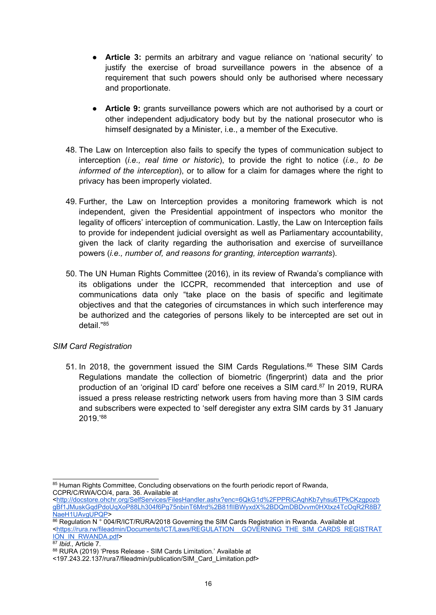- **Article 3:** permits an arbitrary and vague reliance on 'national security' to justify the exercise of broad surveillance powers in the absence of <sup>a</sup> requirement that such powers should only be authorised where necessary and proportionate.
- **Article 9:** grants surveillance powers which are not authorised by <sup>a</sup> court or other independent adjudicatory body but by the national prosecutor who is himself designated by <sup>a</sup> Minister, i.e., <sup>a</sup> member of the Executive.
- 48. The Law on Interception also fails to specify the types of communication subject to interception (*i.e., real time or historic*), to provide the right to notice (*i.e., to be informed of the interception*), or to allow for <sup>a</sup> claim for damages where the right to privacy has been improperly violated.
- 49. Further, the Law on Interception provides <sup>a</sup> monitoring framework which is not independent, given the Presidential appointment of inspectors who monitor the legality of officers' interception of communication. Lastly, the Law on Interception fails to provide for independent judicial oversight as well as Parliamentary accountability, given the lack of clarity regarding the authorisation and exercise of surveillance powers (*i.e., number of, and reasons for granting, interception warrants*).
- 50. The UN Human Rights Committee (2016), in its review of Rwanda'<sup>s</sup> compliance with its obligations under the ICCPR, recommended that interception and use of communications data only "take place on the basis of specific and legitimate objectives and that the categories of circumstances in which such interference may be authorized and the categories of persons likely to be intercepted are set out in detail."<sup>85</sup>

# *SIM Card Registration*

51. In 2018, the government issued the SIM Cards Regulations. 86 These SIM Cards Regulations mandate the collection of biometric (fingerprint) data and the prior production of an 'original ID card' before one receives a SIM card.<sup>87</sup> In 2019, RURA issued <sup>a</sup> press release restricting network users from having more than 3 SIM cards and subscribers were expected to 'self deregister any extra SIM cards by 31 January 2019.' 88

<sup>85</sup> Human Rights Committee, Concluding observations on the fourth periodic report of Rwanda, CCPR/C/RWA/CO/4, para. 36. Available at

<sup>&</sup>lt;[http://docstore.ohchr.org/SelfServices/FilesHandler.ashx?enc=6QkG1d%2FPPRiCAqhKb7yhsu6TPkCKzgpozb](http://docstore.ohchr.org/SelfServices/FilesHandler.ashx?enc=6QkG1d%2FPPRiCAqhKb7yhsu6TPkCKzgpozbgBf1JMuskGqdPdoUqXoP88Lh304f6Pg75nbinT6Mrd%2B81fIIBWyxdX%2BDQmDBDvvm0HXtxz4TcOqR2R8B7NaeH1UAvgUPQP) [gBf1JMuskGqdPdoUqXoP88Lh304f6Pg75nbinT6Mrd%2B81fIIBWyxdX%2BDQmDBDvvm0HXtxz4TcOqR2R8B7](http://docstore.ohchr.org/SelfServices/FilesHandler.ashx?enc=6QkG1d%2FPPRiCAqhKb7yhsu6TPkCKzgpozbgBf1JMuskGqdPdoUqXoP88Lh304f6Pg75nbinT6Mrd%2B81fIIBWyxdX%2BDQmDBDvvm0HXtxz4TcOqR2R8B7NaeH1UAvgUPQP) [NaeH1UAvgUPQP](http://docstore.ohchr.org/SelfServices/FilesHandler.ashx?enc=6QkG1d%2FPPRiCAqhKb7yhsu6TPkCKzgpozbgBf1JMuskGqdPdoUqXoP88Lh304f6Pg75nbinT6Mrd%2B81fIIBWyxdX%2BDQmDBDvvm0HXtxz4TcOqR2R8B7NaeH1UAvgUPQP)>

 $86$  Regulation N  $^{\circ}$  004/R/ICT/RURA/2018 Governing the SIM Cards Registration in Rwanda. Available at <[https://rura.rw/fileadmin/Documents/ICT/Laws/REGULATION\\_\\_GOVERNING\\_THE\\_SIM\\_CARDS\\_REGISTRAT](https://rura.rw/fileadmin/Documents/ICT/Laws/REGULATION__GOVERNING_THE_SIM_CARDS_REGISTRATION_IN_RWANDA.pdf) [ION\\_IN\\_RWANDA.pdf](https://rura.rw/fileadmin/Documents/ICT/Laws/REGULATION__GOVERNING_THE_SIM_CARDS_REGISTRATION_IN_RWANDA.pdf)>

<sup>87</sup> *Ibid.,* Article 7.

<sup>88</sup> RURA (2019) 'Press Release - SIM Cards Limitation.' Available at

<sup>&</sup>lt;197.243.22.137/rura7/fileadmin/publication/SIM\_Card\_Limitation.pdf>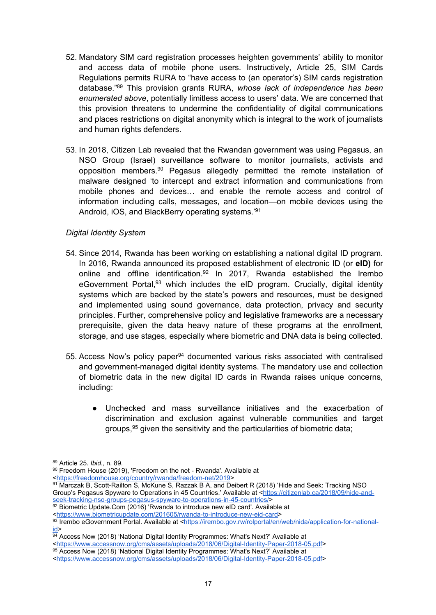- 52. Mandatory SIM card registration processes heighten governments' ability to monitor and access data of mobile phone users. Instructively, Article 25, SIM Cards Regulations permits RURA to "have access to (an operator's) SIM cards registration database." 89 This provision grants RURA, *whose lack of independence has been enumerated above*, potentially limitless access to users' data. We are concerned that this provision threatens to undermine the confidentiality of digital communications and places restrictions on digital anonymity which is integral to the work of journalists and human rights defenders.
- 53. In 2018, Citizen Lab revealed that the Rwandan government was using Pegasus, an NSO Group (Israel) surveillance software to monitor journalists, activists and opposition members. <sup>90</sup> Pegasus allegedly permitted the remote installation of malware designed 'to intercept and extract information and communications from mobile phones and devices… and enable the remote access and control of information including calls, messages, and location—on mobile devices using the Android, iOS, and BlackBerry operating systems.'<sup>91</sup>

#### *Digital Identity System*

- 54. Since 2014, Rwanda has been working on establishing <sup>a</sup> national digital ID program. In 2016, Rwanda announced its proposed establishment of electronic ID (or **eID)** for online and offline identification. 92 In 2017, Rwanda established the Irembo eGovernment Portal,<sup>93</sup> which includes the eID program. Crucially, digital identity systems which are backed by the state'<sup>s</sup> powers and resources, must be designed and implemented using sound governance, data protection, privacy and security principles. Further, comprehensive policy and legislative frameworks are <sup>a</sup> necessary prerequisite, given the data heavy nature of these programs at the enrollment, storage, and use stages, especially where biometric and DNA data is being collected.
- 55. Access Now's policy paper<sup>94</sup> documented various risks associated with centralised and government-managed digital identity systems. The mandatory use and collection of biometric data in the new digital ID cards in Rwanda raises unique concerns, including:
	- $\bullet$  Unchecked and mass surveillance initiatives and the exacerbation of discrimination and exclusion against vulnerable communities and target groups, 95 given the sensitivity and the particularities of biometric data;

<<https://www.accessnow.org/cms/assets/uploads/2018/06/Digital-Identity-Paper-2018-05.pdf>>

<sup>89</sup> Article 25. *Ibid*., n. 89.

 $^{\rm 90}$  Freedom House (2019), 'Freedom on the net - Rwanda'. Available at <<https://freedomhouse.org/country/rwanda/freedom-net/2019>>

<sup>91</sup> Marczak B, Scott-Railton S, McKune S, Razzak B A, and Deibert R (2018) 'Hide and Seek: Tracking NSO Group'<sup>s</sup> Pegasus Spyware to Operations in 45 Countries.' Available at <[https://citizenlab.ca/2018/09/hide-and](https://citizenlab.ca/2018/09/hide-and-seek-tracking-nso-groups-pegasus-spyware-to-operations-in-45-countries/)[seek-tracking-nso-groups-pegasus-spyware-to-operations-in-45-countries/](https://citizenlab.ca/2018/09/hide-and-seek-tracking-nso-groups-pegasus-spyware-to-operations-in-45-countries/)>

<sup>92</sup> Biometric Update.Com (2016) 'Rwanda to introduce new eID card'. Available at <<https://www.biometricupdate.com/201605/rwanda-to-introduce-new-eid-card>>

<sup>&</sup>lt;sup>93</sup> Irembo eGovernment Portal. Available at <<u>https://irembo.gov.rw/rolportal/en/web/nida/application-for-national-</u> [id>](https://irembo.gov.rw/rolportal/en/web/nida/application-for-national-id)

<sup>&</sup>lt;sup>94</sup> Access Now (2018) 'National Digital Identity Programmes: What's Next?' Available at

<sup>95</sup> Access Now (2018) 'National Digital Identity Programmes: What's Next?' Available at

<sup>&</sup>lt;<https://www.accessnow.org/cms/assets/uploads/2018/06/Digital-Identity-Paper-2018-05.pdf>>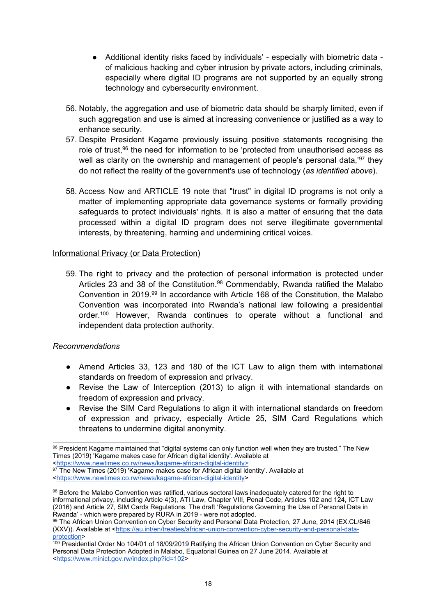- Additional identity risks faced by individuals' especially with biometric data of malicious hacking and cyber intrusion by private actors, including criminals, especially where digital ID programs are not supported by an equally strong technology and cybersecurity environment.
- 56. Notably, the aggregation and use of biometric data should be sharply limited, even if such aggregation and use is aimed at increasing convenience or justified as <sup>a</sup> way to enhance security.
- 57. Despite President Kagame previously issuing positive statements recognising the role of trust,<sup>96</sup> the need for information to be 'protected from unauthorised access as well as clarity on the ownership and management of people's personal data,'<sup>97</sup> they do not reflect the reality of the government's use of technology (*as identified above*).
- 58. Access Now and ARTICLE 19 note that "trust" in digital ID programs is not only <sup>a</sup> matter of implementing appropriate data governance systems or formally providing safeguards to protect individuals' rights. It is also <sup>a</sup> matter of ensuring that the data processed within <sup>a</sup> digital ID program does not serve illegitimate governmental interests, by threatening, harming and undermining critical voices.

#### Informational Privacy (or Data Protection)

59. The right to privacy and the protection of personal information is protected under Articles 23 and 38 of the Constitution.<sup>98</sup> Commendably, Rwanda ratified the Malabo Convention in 2019.<sup>99</sup> In accordance with Article 168 of the Constitution, the Malabo Convention was incorporated into Rwanda'<sup>s</sup> national law following <sup>a</sup> presidential order.<sup>100</sup> However, Rwanda continues to operate without a functional and independent data protection authority.

# *Recommendations*

- Amend Articles 33, 123 and 180 of the ICT Law to align them with international standards on freedom of expression and privacy.
- Revise the Law of Interception (2013) to align it with international standards on freedom of expression and privacy.
- $\bullet$  Revise the SIM Card Regulations to align it with international standards on freedom of expression and privacy, especially Article 25, SIM Card Regulations which threatens to undermine digital anonymity.

<sup>96</sup> President Kagame maintained that "digital systems can only function well when they are trusted." The New Times (2019) 'Kagame makes case for African digital identity'. Available at

<sup>&</sup>lt;<https://www.newtimes.co.rw/news/kagame-african-digital-identity>>

 $\rm ^{97}$  The New Times (2019) 'Kagame makes case for African digital identity'. Available at <<https://www.newtimes.co.rw/news/kagame-african-digital-identity>>

 $^{98}$  Before the Malabo Convention was ratified, various sectoral laws inadequately catered for the right to informational privacy, including Article 4(3), ATI Law, Chapter VIII, Penal Code, Articles 102 and 124, ICT Law (2016) and Article 27, SIM Cards Regulations. The draft 'Regulations Governing the Use of Personal Data in Rwanda' - which were prepared by RURA in 2019 - were not adopted.

<sup>99</sup> The African Union Convention on Cyber Security and Personal Data Protection, 27 June, 2014 (EX.CL/846 (XXV)). Available at <[https://au.int/en/treaties/african-union-convention-cyber-security-and-personal-data](https://au.int/en/treaties/african-union-convention-cyber-security-and-personal-data-protection)[protection](https://au.int/en/treaties/african-union-convention-cyber-security-and-personal-data-protection)>

<sup>100</sup> Presidential Order No 104/01 of 18/09/2019 Ratifying the African Union Convention on Cyber Security and Personal Data Protection Adopted in Malabo, Equatorial Guinea on 27 June 2014. Available at <<https://www.minict.gov.rw/index.php?id=102>>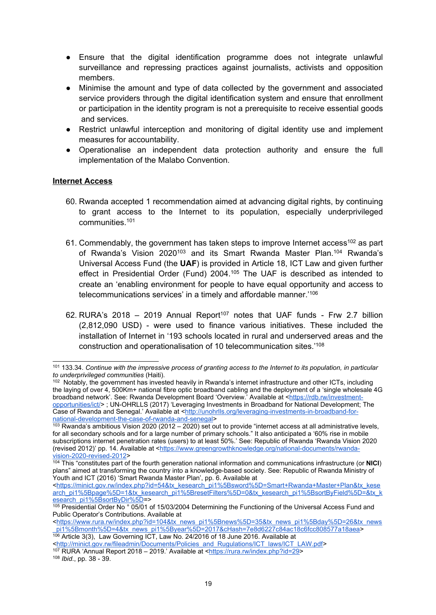- ● Ensure that the digital identification programme does not integrate unlawful surveillance and repressing practices against journalists, activists and opposition members.
- ● Minimise the amount and type of data collected by the government and associated service providers through the digital identification system and ensure that enrollment or participation in the identity program is not <sup>a</sup> prerequisite to receive essential goods and services.
- $\bullet$  Restrict unlawful interception and monitoring of digital identity use and implement measures for accountability.
- ● Operationalise an independent data protection authority and ensure the full implementation of the Malabo Convention.

#### **Internet Access**

- 60. Rwanda accepted 1 recommendation aimed at advancing digital rights, by continuing to grant access to the Internet to its population, especially underprivileged communities. 101
- 61. Commendably, the government has taken steps to improve Internet access $^{\rm 102}$  as part of Rwanda's Vision 2020<sup>103</sup> and its Smart Rwanda Master Plan.<sup>104</sup> Rwanda's Universal Access Fund (the **UAF**) is provided in Article 18, ICT Law and given further effect in Presidential Order (Fund) 2004. 105 The UAF is described as intended to create an 'enabling environment for people to have equal opportunity and access to telecommunications services' in <sup>a</sup> timely and affordable manner.' 106
- 62. RURA'<sup>s</sup> 2018 2019 Annual Report 107 notes that UAF funds Frw 2.7 billion (2,812,090 USD) - were used to finance various initiatives. These included the installation of Internet in '193 schools located in rural and underserved areas and the construction and operationalisation of 10 telecommunication sites.' 108

<sup>106</sup> Article 3(3), Law Governing ICT, Law No. 24/2016 of 18 June 2016. Available at <[http://minict.gov.rw/fileadmin/Documents/Policies\\_and\\_Rugulations/ICT\\_laws/ICT\\_LAW.pdf](http://minict.gov.rw/fileadmin/Documents/Policies_and_Rugulations/ICT_laws/ICT_LAW.pdf)> 107 RURA 'Annual Report 2018 – 2019.' Available at <<https://rura.rw/index.php?id=29>>

108 *Ibid*., pp. 38 - 39.

 $^{101}$  133.34. Continue with the impressive process of granting access to the Internet to its population, in particular *to underprivileged communities* (Haiti).

<sup>102</sup> Notably, the government has invested heavily in Rwanda'<sup>s</sup> internet infrastructure and other ICTs, including the laying of over 4, 500Km+ national fibre optic broadband cabling and the deployment of <sup>a</sup> 'single wholesale 4G broadband network'. See: Rwanda Development Board 'Overview.' Available at <[https://rdb.rw/investment](https://rdb.rw/investment-opportunities/ict/)[opportunities/ict/](https://rdb.rw/investment-opportunities/ict/)> ; UN-OHRLLS (2017) 'Leveraging Investments in Broadband for National Development; The Case of Rwanda and Senegal.' Available at <[http://unohrlls.org/leveraging-investments-in-broadband-for](http://unohrlls.org/leveraging-investments-in-broadband-for-national-development-the-case-of-rwanda-and-senegal)[national-development-the-case-of-rwanda-and-senegal](http://unohrlls.org/leveraging-investments-in-broadband-for-national-development-the-case-of-rwanda-and-senegal)>

<sup>&</sup>lt;sup>103</sup> Rwanda's ambitious Vision 2020 (2012 – 2020) set out to provide "internet access at all administrative levels. for all secondary schools and for <sup>a</sup> large number of primary schools." It also anticipated <sup>a</sup> '60% rise in mobile subscriptions internet penetration rates (users) to at least 50%.' See: Republic of Rwanda 'Rwanda Vision 2020 (revised 2012)' pp. 14. Available at <[https://www.greengrowthknowledge.org/national-documents/rwanda-](https://www.greengrowthknowledge.org/national-documents/rwanda-vision-2020-revised-2012)

[vision-2020-revised-2012](https://www.greengrowthknowledge.org/national-documents/rwanda-vision-2020-revised-2012)> 104 This "constitutes part of the fourth generation national information and communications infrastructure (or **NICI**) plans" aimed at transforming the country into <sup>a</sup> knowledge-based society. See: Republic of Rwanda Ministry of Youth and ICT (2016) 'Smart Rwanda Master Plan', pp. 6. Available at

<sup>&</sup>lt;[https://minict.gov.rw/index.php?id=54&tx\\_kesearch\\_pi1%5Bsword%5D=Smart+Rwanda+Master+Plan&tx\\_kese](https://minict.gov.rw/index.php?id=54&tx_kesearch_pi1%5Bsword%5D=Smart+Rwanda+Master+Plan&tx_kesearch_pi1%5Bpage%5D=1&tx_kesearch_pi1%5BresetFilters%5D=0&tx_kesearch_pi1%5BsortByField%5D=&tx_kesearch_pi1%5BsortByDir%5D) [arch\\_pi1%5Bpage%5D=1&tx\\_kesearch\\_pi1%5BresetFilters%5D=0&tx\\_kesearch\\_pi1%5BsortByField%5D=&tx\\_k](https://minict.gov.rw/index.php?id=54&tx_kesearch_pi1%5Bsword%5D=Smart+Rwanda+Master+Plan&tx_kesearch_pi1%5Bpage%5D=1&tx_kesearch_pi1%5BresetFilters%5D=0&tx_kesearch_pi1%5BsortByField%5D=&tx_kesearch_pi1%5BsortByDir%5D) [esearch\\_pi1%5BsortByDir%5D](https://minict.gov.rw/index.php?id=54&tx_kesearch_pi1%5Bsword%5D=Smart+Rwanda+Master+Plan&tx_kesearch_pi1%5Bpage%5D=1&tx_kesearch_pi1%5BresetFilters%5D=0&tx_kesearch_pi1%5BsortByField%5D=&tx_kesearch_pi1%5BsortByDir%5D)=>

<sup>105</sup> Presidential Order No ° 05/01 of 15/03/2004 Determining the Functioning of the Universal Access Fund and Public Operator'<sup>s</sup> Contributions. Available at

<sup>&</sup>lt;[https://www.rura.rw/index.php?id=104&tx\\_news\\_pi1%5Bnews%5D=35&tx\\_news\\_pi1%5Bday%5D=26&tx\\_news](https://www.rura.rw/index.php?id=104&tx_news_pi1%5Bnews%5D=35&tx_news_pi1%5Bday%5D=26&tx_news_pi1%5Bmonth%5D=4&tx_news_pi1%5Byear%5D=2017&cHash=7e8d6227c84ac18c6fcc808577a18aea) [\\_pi1%5Bmonth%5D=4&tx\\_news\\_pi1%5Byear%5D=2017&cHash=7e8d6227c84ac18c6fcc808577a18aea](https://www.rura.rw/index.php?id=104&tx_news_pi1%5Bnews%5D=35&tx_news_pi1%5Bday%5D=26&tx_news_pi1%5Bmonth%5D=4&tx_news_pi1%5Byear%5D=2017&cHash=7e8d6227c84ac18c6fcc808577a18aea)>